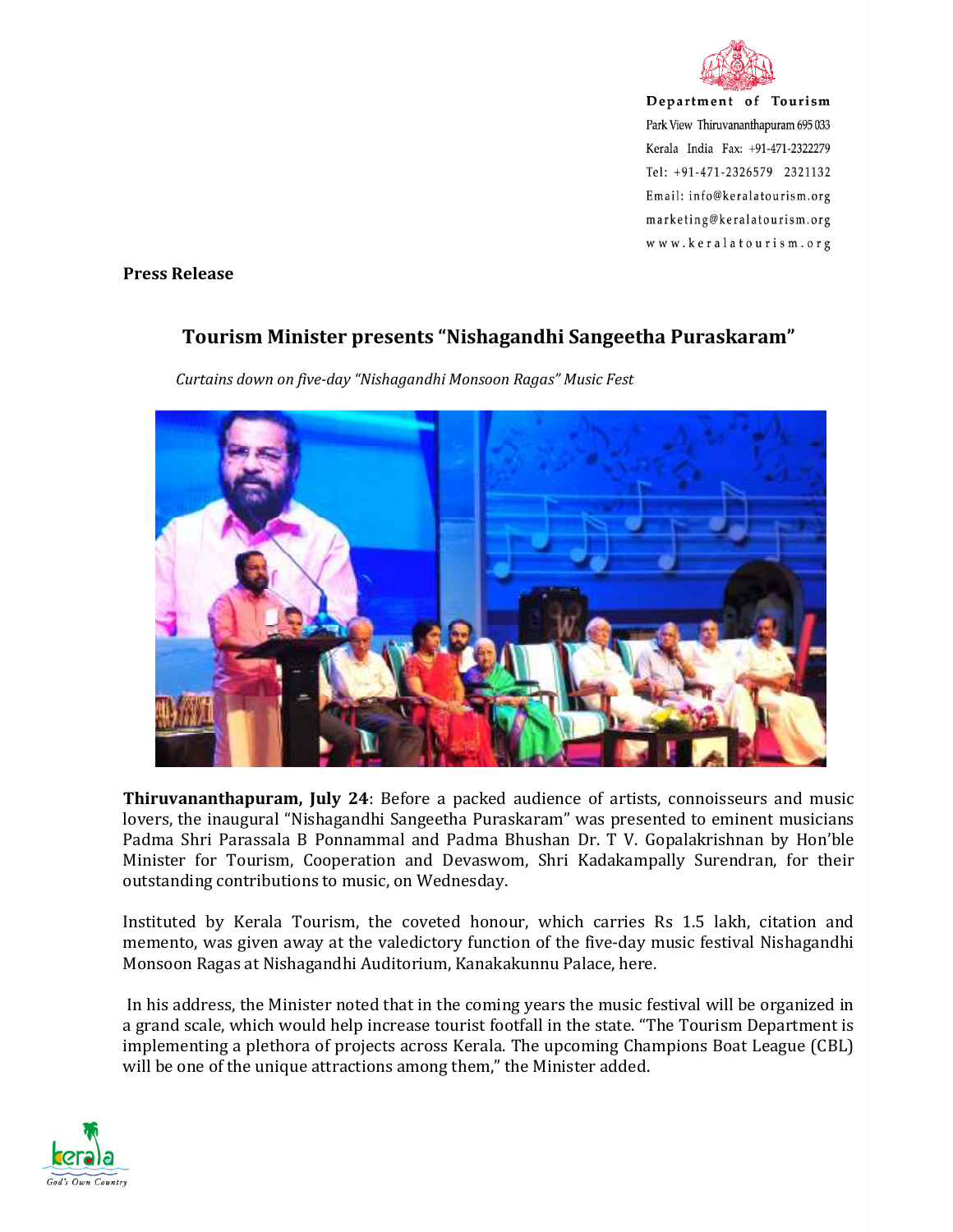

Department of Tourism Park View Thiruvananthapuram 695 033 Kerala India Fax: +91-471-2322279 Tel: +91-471-2326579 2321132 Email: info@keralatourism.org marketing@keralatourism.org www.keralatourism.org

**Press Release** 

## **Tourism Minister presents "Nishagandhi Sangeetha Puraskaram"**



*Curtains down on five-day "Nishagandhi Monsoon Ragas" Music Fest* 

**Thiruvananthapuram, July 24**: Before a packed audience of artists, connoisseurs and music lovers, the inaugural "Nishagandhi Sangeetha Puraskaram" was presented to eminent musicians Padma Shri Parassala B Ponnammal and Padma Bhushan Dr. T V. Gopalakrishnan by Hon'ble Minister for Tourism, Cooperation and Devaswom, Shri Kadakampally Surendran, for their outstanding contributions to music, on Wednesday.

Instituted by Kerala Tourism, the coveted honour, which carries Rs 1.5 lakh, citation and memento, was given away at the valedictory function of the five-day music festival Nishagandhi Monsoon Ragas at Nishagandhi Auditorium, Kanakakunnu Palace, here.

 In his address, the Minister noted that in the coming years the music festival will be organized in a grand scale, which would help increase tourist footfall in the state. "The Tourism Department is implementing a plethora of projects across Kerala. The upcoming Champions Boat League (CBL) will be one of the unique attractions among them," the Minister added.

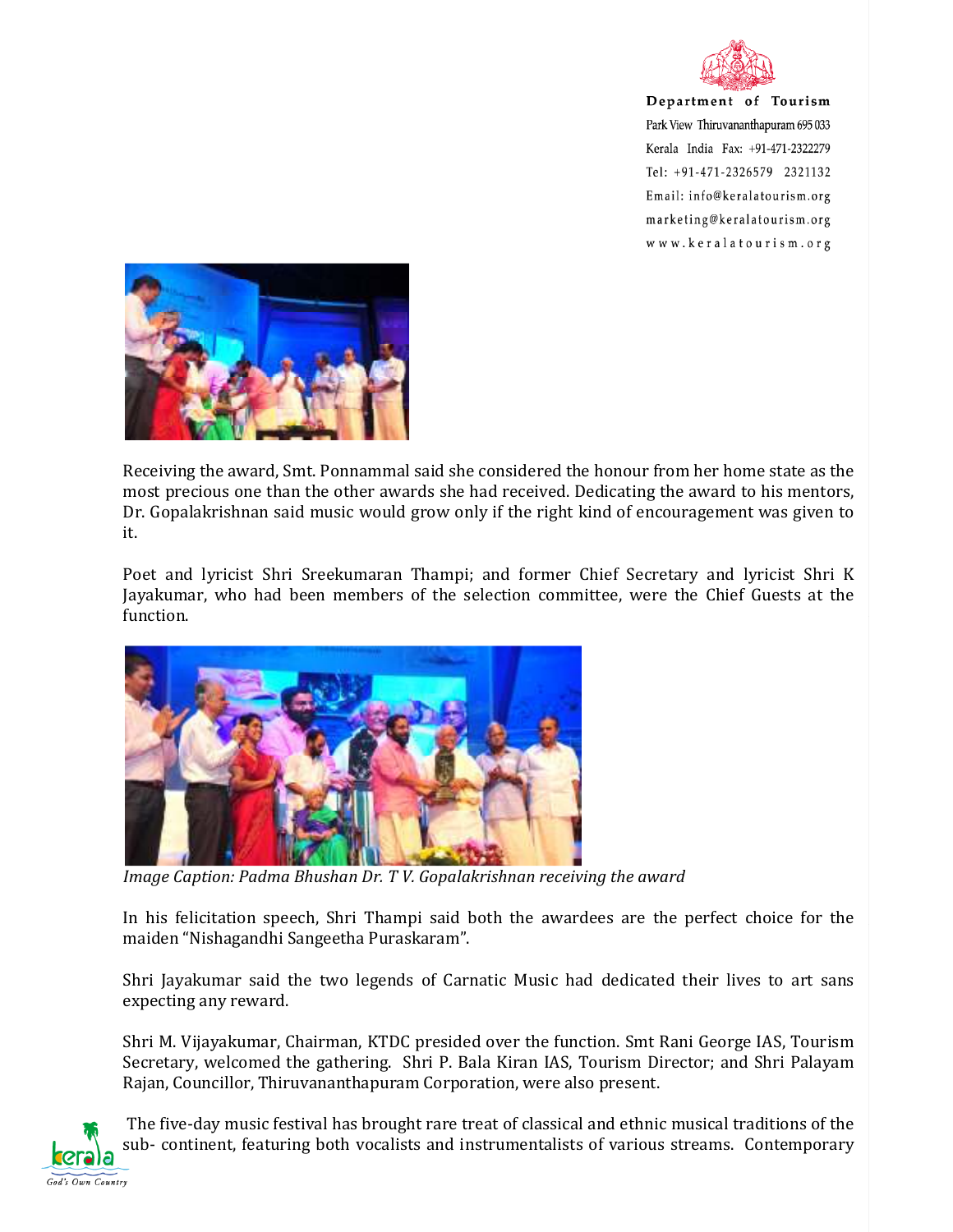

Department of Tourism Park View Thiruvananthapuram 695 033 Kerala India Fax: +91-471-2322279 Tel: +91-471-2326579 2321132 Email: info@keralatourism.org marketing@keralatourism.org www.keralatourism.org



Receiving the award, Smt. Ponnammal said she considered the honour from her home state as the most precious one than the other awards she had received. Dedicating the award to his mentors, Dr. Gopalakrishnan said music would grow only if the right kind of encouragement was given to it.

Poet and lyricist Shri Sreekumaran Thampi; and former Chief Secretary and lyricist Shri K Jayakumar, who had been members of the selection committee, were the Chief Guests at the function.



*Image Caption: Padma Bhushan Dr. T V. Gopalakrishnan receiving the award* 

In his felicitation speech, Shri Thampi said both the awardees are the perfect choice for the maiden "Nishagandhi Sangeetha Puraskaram".

Shri Jayakumar said the two legends of Carnatic Music had dedicated their lives to art sans expecting any reward.

Shri M. Vijayakumar, Chairman, KTDC presided over the function. Smt Rani George IAS, Tourism Secretary, welcomed the gathering. Shri P. Bala Kiran IAS, Tourism Director; and Shri Palayam Rajan, Councillor, Thiruvananthapuram Corporation, were also present.



 The five-day music festival has brought rare treat of classical and ethnic musical traditions of the sub- continent, featuring both vocalists and instrumentalists of various streams. Contemporary